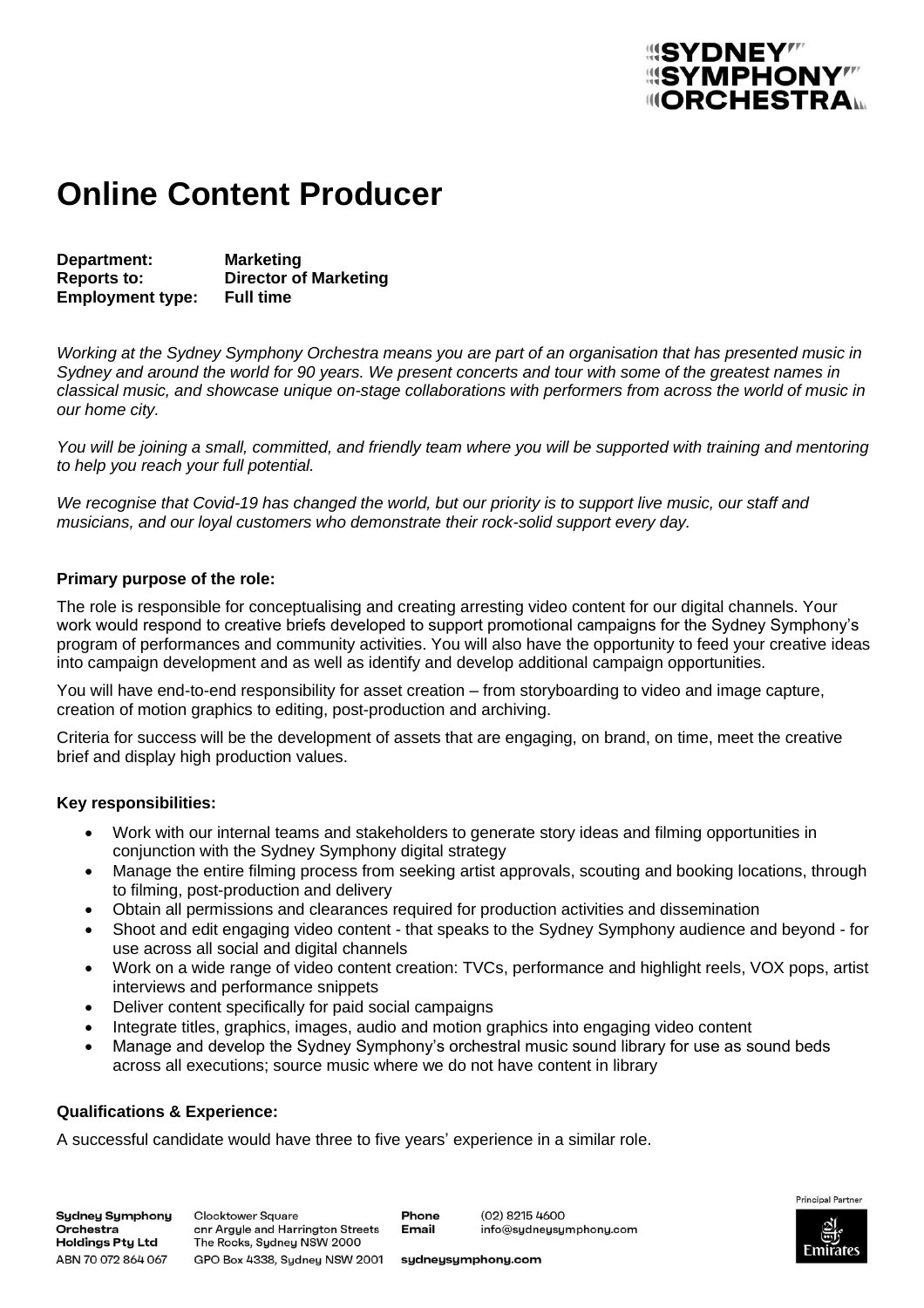# *<u> SYMPHONY"</u>* **IIIORCHESTRAL**

### **Online Content Producer**

**Department: Marketing Reports to: Director of Marketing Employment type:** 

*Working at the Sydney Symphony Orchestra means you are part of an organisation that has presented music in Sydney and around the world for 90 years. We present concerts and tour with some of the greatest names in classical music, and showcase unique on-stage collaborations with performers from across the world of music in our home city.* 

*You will be joining a small, committed, and friendly team where you will be supported with training and mentoring to help you reach your full potential.*

*We recognise that Covid-19 has changed the world, but our priority is to support live music, our staff and musicians, and our loyal customers who demonstrate their rock-solid support every day.*

#### **Primary purpose of the role:**

The role is responsible for conceptualising and creating arresting video content for our digital channels. Your work would respond to creative briefs developed to support promotional campaigns for the Sydney Symphony's program of performances and community activities. You will also have the opportunity to feed your creative ideas into campaign development and as well as identify and develop additional campaign opportunities.

You will have end-to-end responsibility for asset creation – from storyboarding to video and image capture, creation of motion graphics to editing, post-production and archiving.

Criteria for success will be the development of assets that are engaging, on brand, on time, meet the creative brief and display high production values.

### **Key responsibilities:**

- Work with our internal teams and stakeholders to generate story ideas and filming opportunities in conjunction with the Sydney Symphony digital strategy
- Manage the entire filming process from seeking artist approvals, scouting and booking locations, through to filming, post-production and delivery
- Obtain all permissions and clearances required for production activities and dissemination
- Shoot and edit engaging video content that speaks to the Sydney Symphony audience and beyond for use across all social and digital channels
- Work on a wide range of video content creation: TVCs, performance and highlight reels, VOX pops, artist interviews and performance snippets
- Deliver content specifically for paid social campaigns
- Integrate titles, graphics, images, audio and motion graphics into engaging video content
- Manage and develop the Sydney Symphony's orchestral music sound library for use as sound beds across all executions; source music where we do not have content in library

### **Qualifications & Experience:**

A successful candidate would have three to five years' experience in a similar role.

**Sydney Symphony** Orchestra Holdings Pty Ltd ABN 70 072 864 067

**Clocktower Square** onr Argyle and Harrington Streets The Rocks, Sydney NSW 2000 GPO Box 4338, Sydney NSW 2001

Phone **Email** 

(02) 8215 4600 info@sydneysymphony.com